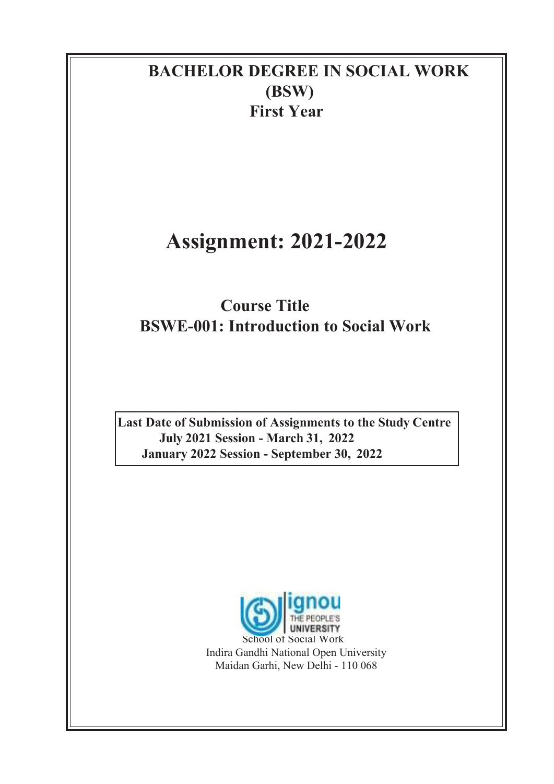### BACHELOR DEGREE IN SOCIAL WORK (BSW) First Year

# Assignment: 2021-2022

## Course Title BSWE-001: Introduction to Social Work

Last Date of Submission of Assignments to the Study Centre July 2021 Session - March 31, 2022 January 2022 Session - September 30, 2022

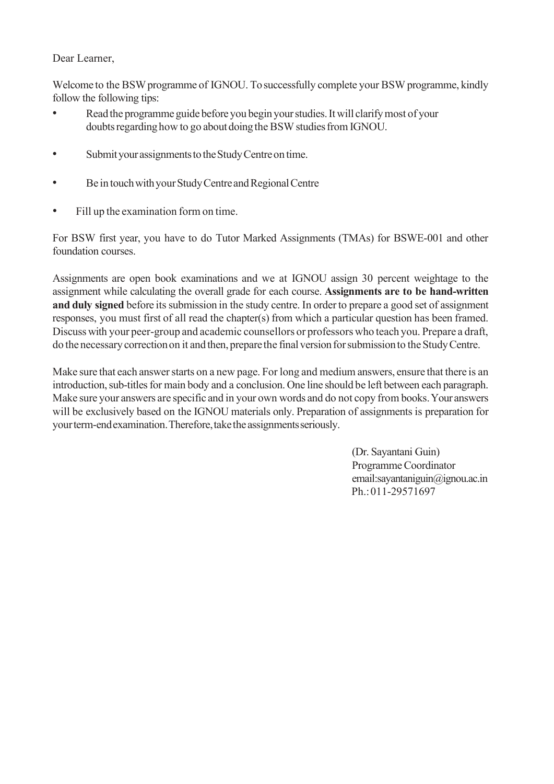#### Dear Learner,

Welcome to the BSW programme of IGNOU. To successfully complete your BSW programme, kindly follow the following tips:

- Read the programme guide before you begin your studies. It will clarify most of your doubts regarding how to go about doing the BSW studies from IGNOU.
- Submit your assignments to the Study Centre on time.
- Be in touch with your Study Centre and Regional Centre
- Fill up the examination form on time.

For BSW first year, you have to do Tutor Marked Assignments (TMAs) for BSWE-001 and other foundation courses.

Assignments are open book examinations and we at IGNOU assign 30 percent weightage to the assignment while calculating the overall grade for each course. Assignments are to be hand-written and duly signed before its submission in the study centre. In order to prepare a good set of assignment responses, you must first of all read the chapter(s) from which a particular question has been framed. Discuss with your peer-group and academic counsellors or professors who teach you. Prepare a draft, do the necessary correction on it and then, prepare the final version for submission to the Study Centre.

Make sure that each answer starts on a new page. For long and medium answers, ensure that there is an introduction, sub-titles for main body and a conclusion. One line should be left between each paragraph. Make sure your answers are specific and in your own words and do not copy from books. Your answers will be exclusively based on the IGNOU materials only. Preparation of assignments is preparation for your term-end examination. Therefore, take the assignments seriously.

> (Dr. Sayantani Guin) Programme Coordinator email:sayantaniguin@ignou.ac.in Ph.: 011-29571697